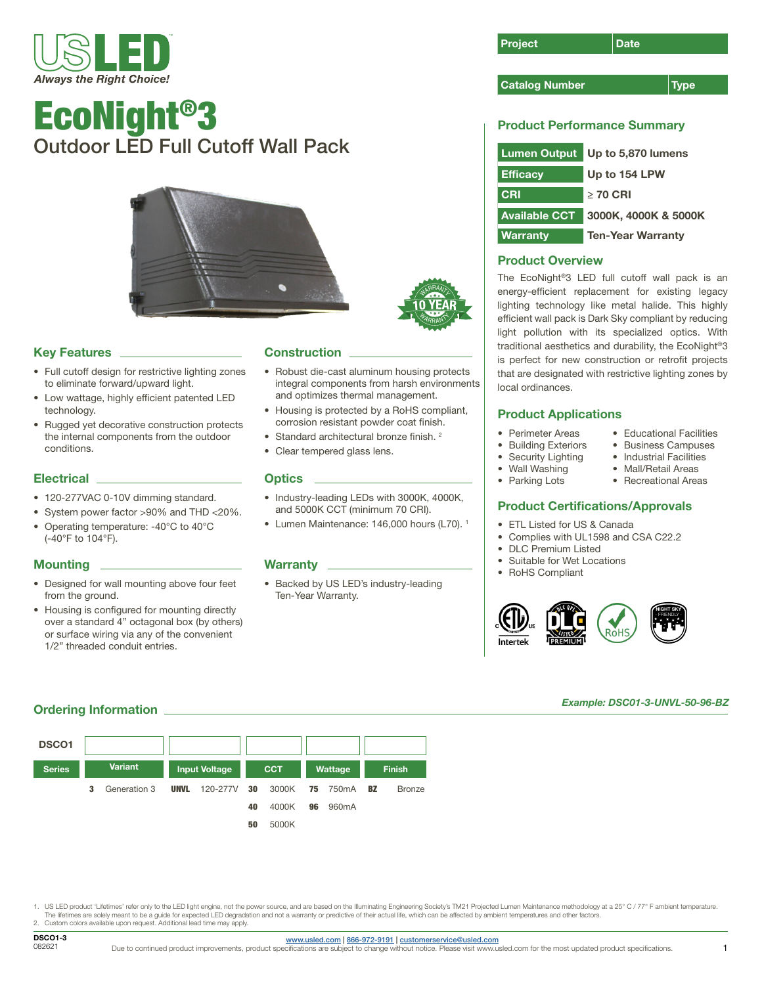

# EcoNight®3 Outdoor LED Full Cutoff Wall Pack



# **Key Features**

- Full cutoff design for restrictive lighting zones to eliminate forward/upward light.
- Low wattage, highly efficient patented LED technology.
- Rugged yet decorative construction protects the internal components from the outdoor conditions.

### Electrical \_

- 120-277VAC 0-10V dimming standard.
- System power factor >90% and THD <20%.
- Operating temperature: -40°C to 40°C (-40°F to 104°F).

## **Mounting**

- Designed for wall mounting above four feet from the ground.
- Housing is configured for mounting directly over a standard 4" octagonal box (by others) or surface wiring via any of the convenient 1/2" threaded conduit entries.

## **Construction**

• Robust die-cast aluminum housing protects integral components from harsh environments and optimizes thermal management.

WARRANTY

**WARRANT** 

- Housing is protected by a RoHS compliant, corrosion resistant powder coat finish.
- Standard architectural bronze finish. <sup>2</sup>
- Clear tempered glass lens.

#### **Optics**

- Industry-leading LEDs with 3000K, 4000K, and 5000K CCT (minimum 70 CRI).
- Lumen Maintenance: 146,000 hours (L70). <sup>1</sup>

#### Warranty L

• Backed by US LED's industry-leading Ten-Year Warranty.



#### **Catalog Number Type Type**

# Product Performance Summary

| <b>Lumen Output</b>  | Up to 5,870 lumens       |  |  |  |
|----------------------|--------------------------|--|--|--|
| <b>Efficacy</b>      | Up to 154 LPW            |  |  |  |
| <b>CRI</b>           | $>$ 70 CRI               |  |  |  |
| <b>Available CCT</b> | 3000K, 4000K & 5000K     |  |  |  |
| <b>Warranty</b>      | <b>Ten-Year Warranty</b> |  |  |  |

# Product Overview

The EcoNight®3 LED full cutoff wall pack is an energy-efficient replacement for existing legacy lighting technology like metal halide. This highly efficient wall pack is Dark Sky compliant by reducing light pollution with its specialized optics. With traditional aesthetics and durability, the EcoNight®3 is perfect for new construction or retrofit projects that are designated with restrictive lighting zones by local ordinances.

> • Educational Facilities • Business Campuses • Industrial Facilities • Mall/Retail Areas • Recreational Areas

# Product Applications

- Perimeter Areas
- Building Exteriors
- Security Lighting
- Wall Washing
- Parking Lots

## Product Certifications/Approvals

- ETL Listed for US & Canada
- Complies with UL1598 and CSA C22.2
- DLC Premium Listed
- Suitable for Wet Locations
- RoHS Compliant



#### *Example: DSC01-3-UNVL-50-96-BZ*

## **Ordering Information**



1. US LED product 'Lifetimes' refer only to the LED light engine, not the power source, and are based on the Illuminating Engineering Society's TM21 Projected Lumen Maintenance methodology at a 25° C / 77° F ambient temper

The lifetimes are solely meant to be a guide for expected LED degradation and not a warranty or predictive of their actual life, which can be affected by ambient temperatures and other factors.<br>2. Custom colors available u